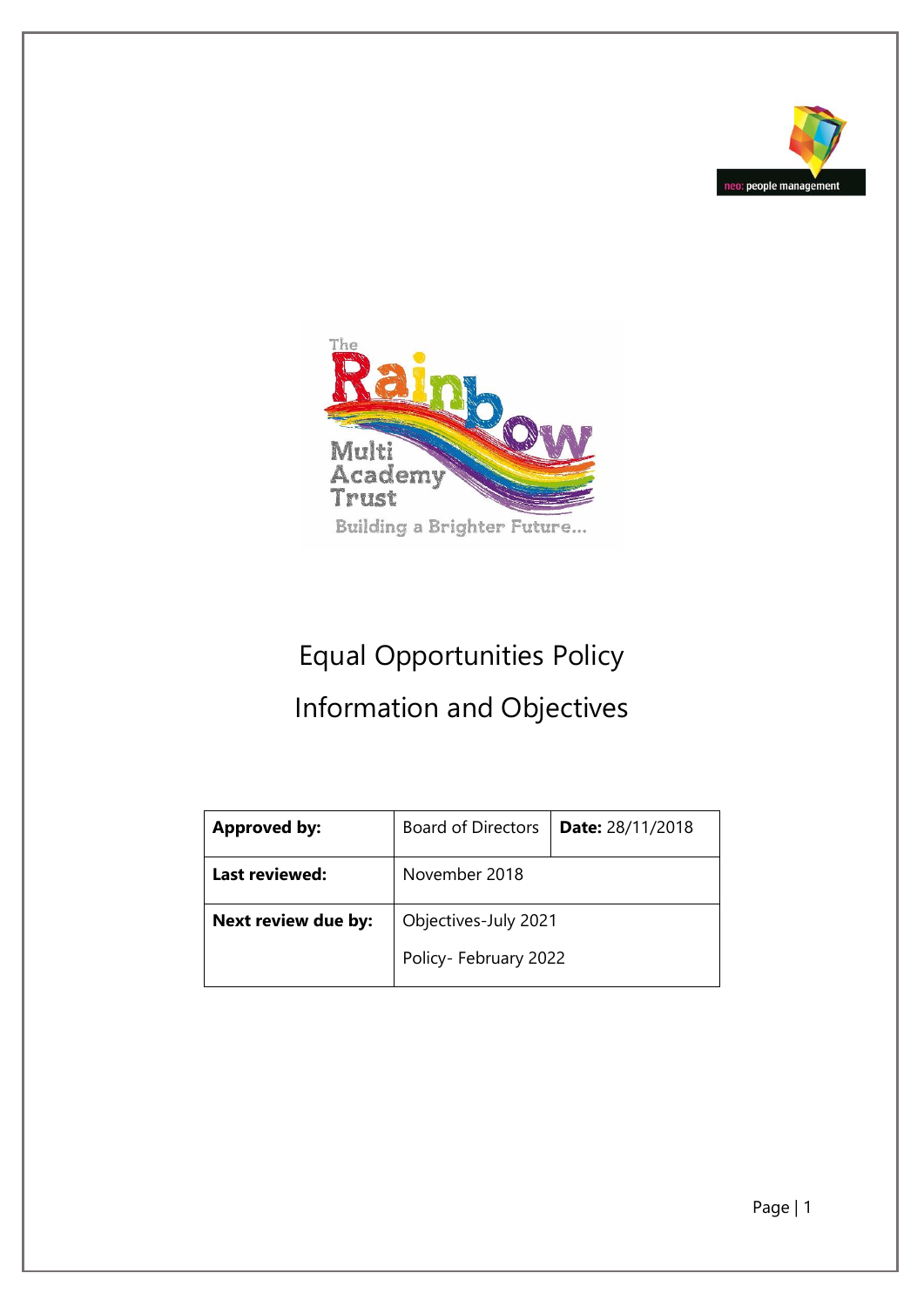



# Equal Opportunities Policy Information and Objectives

| <b>Approved by:</b> | <b>Board of Directors</b> | <b>Date: 28/11/2018</b> |  |
|---------------------|---------------------------|-------------------------|--|
| Last reviewed:      | November 2018             |                         |  |
| Next review due by: | Objectives-July 2021      |                         |  |
|                     | Policy- February 2022     |                         |  |

Page | 1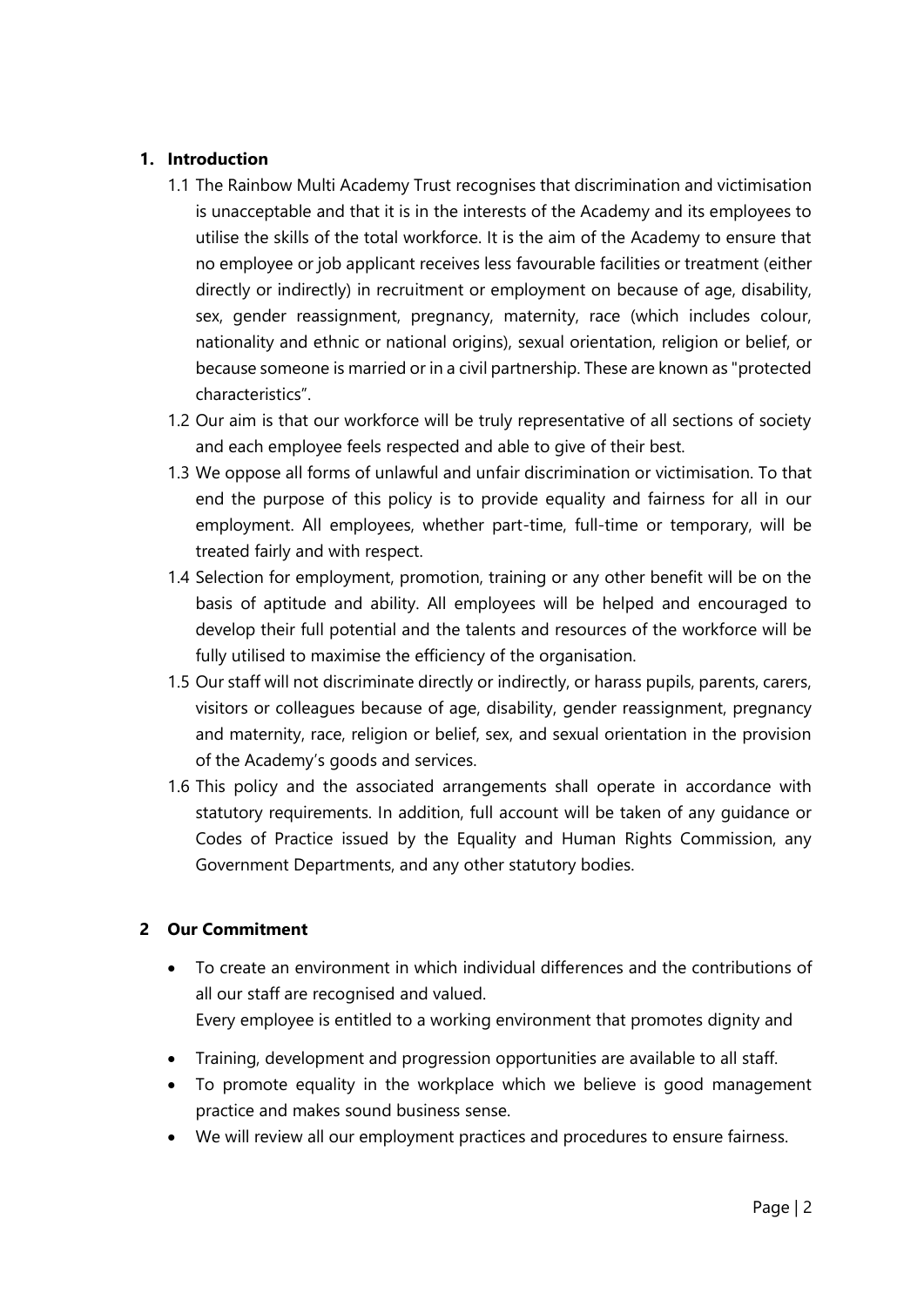## **1. Introduction**

- 1.1 The Rainbow Multi Academy Trust recognises that discrimination and victimisation is unacceptable and that it is in the interests of the Academy and its employees to utilise the skills of the total workforce. It is the aim of the Academy to ensure that no employee or job applicant receives less favourable facilities or treatment (either directly or indirectly) in recruitment or employment on because of age, disability, sex, gender reassignment, pregnancy, maternity, race (which includes colour, nationality and ethnic or national origins), sexual orientation, religion or belief, or because someone is married or in a civil partnership. These are known as "protected characteristics".
- 1.2 Our aim is that our workforce will be truly representative of all sections of society and each employee feels respected and able to give of their best.
- 1.3 We oppose all forms of unlawful and unfair discrimination or victimisation. To that end the purpose of this policy is to provide equality and fairness for all in our employment. All employees, whether part-time, full-time or temporary, will be treated fairly and with respect.
- 1.4 Selection for employment, promotion, training or any other benefit will be on the basis of aptitude and ability. All employees will be helped and encouraged to develop their full potential and the talents and resources of the workforce will be fully utilised to maximise the efficiency of the organisation.
- 1.5 Our staff will not discriminate directly or indirectly, or harass pupils, parents, carers, visitors or colleagues because of age, disability, gender reassignment, pregnancy and maternity, race, religion or belief, sex, and sexual orientation in the provision of the Academy's goods and services.
- 1.6 This policy and the associated arrangements shall operate in accordance with statutory requirements. In addition, full account will be taken of any guidance or Codes of Practice issued by the Equality and Human Rights Commission, any Government Departments, and any other statutory bodies.

## **2 Our Commitment**

- To create an environment in which individual differences and the contributions of all our staff are recognised and valued. Every employee is entitled to a working environment that promotes dignity and
- Training, development and progression opportunities are available to all staff.
- To promote equality in the workplace which we believe is good management practice and makes sound business sense.
- We will review all our employment practices and procedures to ensure fairness.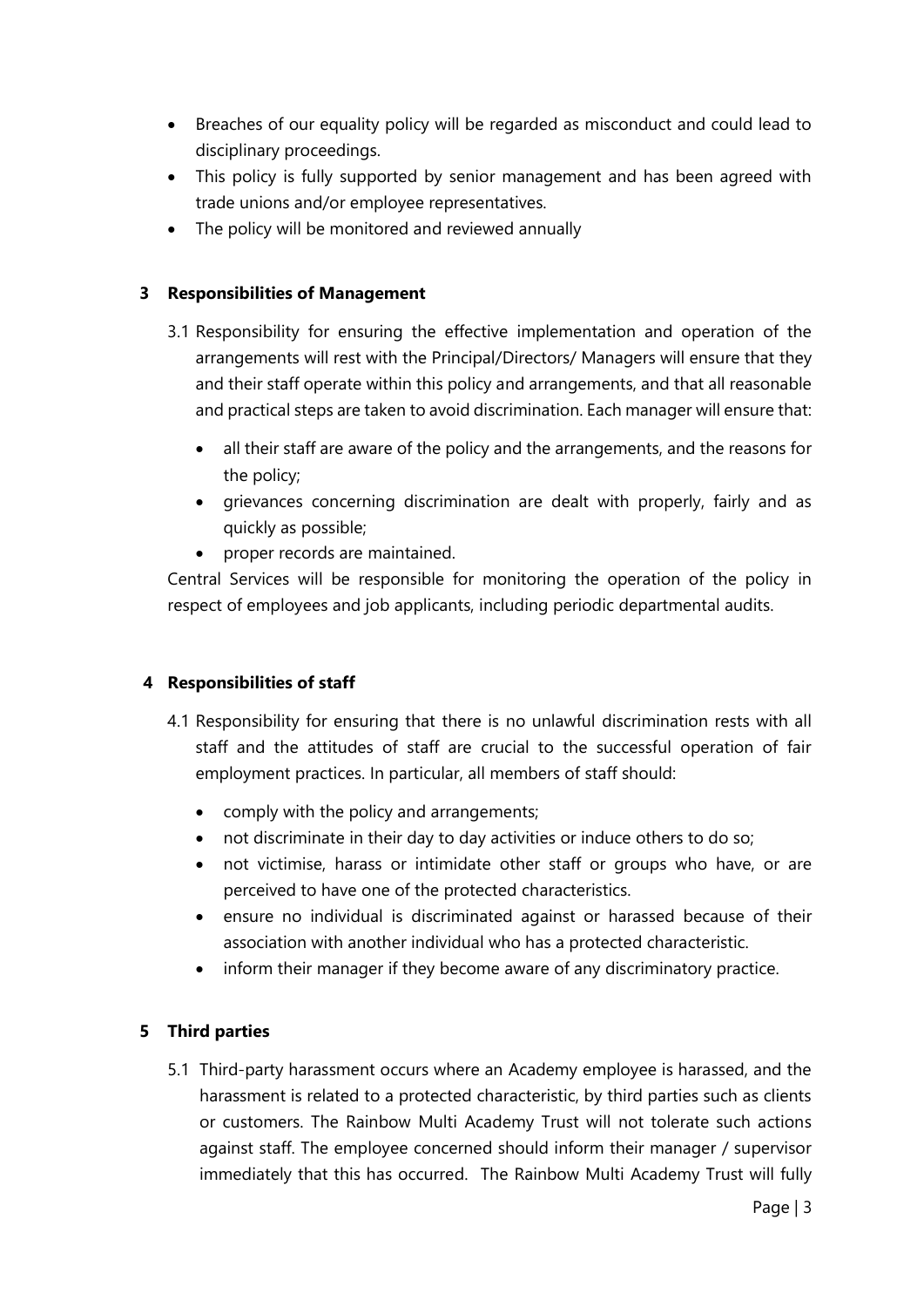- Breaches of our equality policy will be regarded as misconduct and could lead to disciplinary proceedings.
- This policy is fully supported by senior management and has been agreed with trade unions and/or employee representatives.
- The policy will be monitored and reviewed annually

#### **3 Responsibilities of Management**

- 3.1 Responsibility for ensuring the effective implementation and operation of the arrangements will rest with the Principal/Directors/ Managers will ensure that they and their staff operate within this policy and arrangements, and that all reasonable and practical steps are taken to avoid discrimination. Each manager will ensure that:
	- all their staff are aware of the policy and the arrangements, and the reasons for the policy;
	- grievances concerning discrimination are dealt with properly, fairly and as quickly as possible;
	- proper records are maintained.

Central Services will be responsible for monitoring the operation of the policy in respect of employees and job applicants, including periodic departmental audits.

## **4 Responsibilities of staff**

- 4.1 Responsibility for ensuring that there is no unlawful discrimination rests with all staff and the attitudes of staff are crucial to the successful operation of fair employment practices. In particular, all members of staff should:
	- comply with the policy and arrangements;
	- not discriminate in their day to day activities or induce others to do so;
	- not victimise, harass or intimidate other staff or groups who have, or are perceived to have one of the protected characteristics.
	- ensure no individual is discriminated against or harassed because of their association with another individual who has a protected characteristic.
	- inform their manager if they become aware of any discriminatory practice.

## **5 Third parties**

5.1 Third-party harassment occurs where an Academy employee is harassed, and the harassment is related to a protected characteristic, by third parties such as clients or customers. The Rainbow Multi Academy Trust will not tolerate such actions against staff. The employee concerned should inform their manager / supervisor immediately that this has occurred. The Rainbow Multi Academy Trust will fully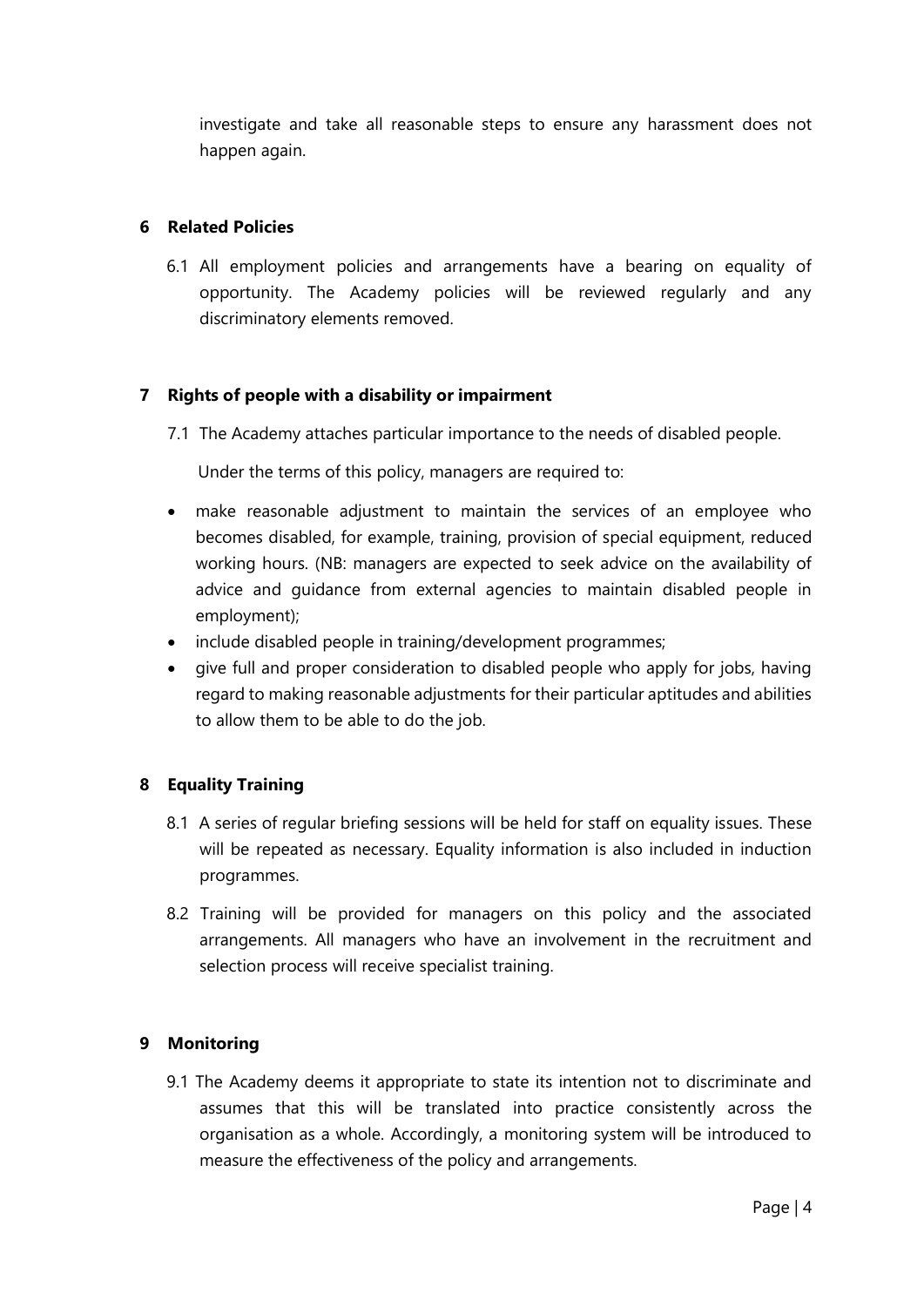investigate and take all reasonable steps to ensure any harassment does not happen again.

#### **6 Related Policies**

6.1 All employment policies and arrangements have a bearing on equality of opportunity. The Academy policies will be reviewed regularly and any discriminatory elements removed.

#### **7 Rights of people with a disability or impairment**

7.1 The Academy attaches particular importance to the needs of disabled people.

Under the terms of this policy, managers are required to:

- make reasonable adjustment to maintain the services of an employee who becomes disabled, for example, training, provision of special equipment, reduced working hours. (NB: managers are expected to seek advice on the availability of advice and guidance from external agencies to maintain disabled people in employment);
- include disabled people in training/development programmes;
- give full and proper consideration to disabled people who apply for jobs, having regard to making reasonable adjustments for their particular aptitudes and abilities to allow them to be able to do the job.

#### **8 Equality Training**

- 8.1 A series of regular briefing sessions will be held for staff on equality issues. These will be repeated as necessary. Equality information is also included in induction programmes.
- 8.2 Training will be provided for managers on this policy and the associated arrangements. All managers who have an involvement in the recruitment and selection process will receive specialist training.

#### **9 Monitoring**

9.1 The Academy deems it appropriate to state its intention not to discriminate and assumes that this will be translated into practice consistently across the organisation as a whole. Accordingly, a monitoring system will be introduced to measure the effectiveness of the policy and arrangements.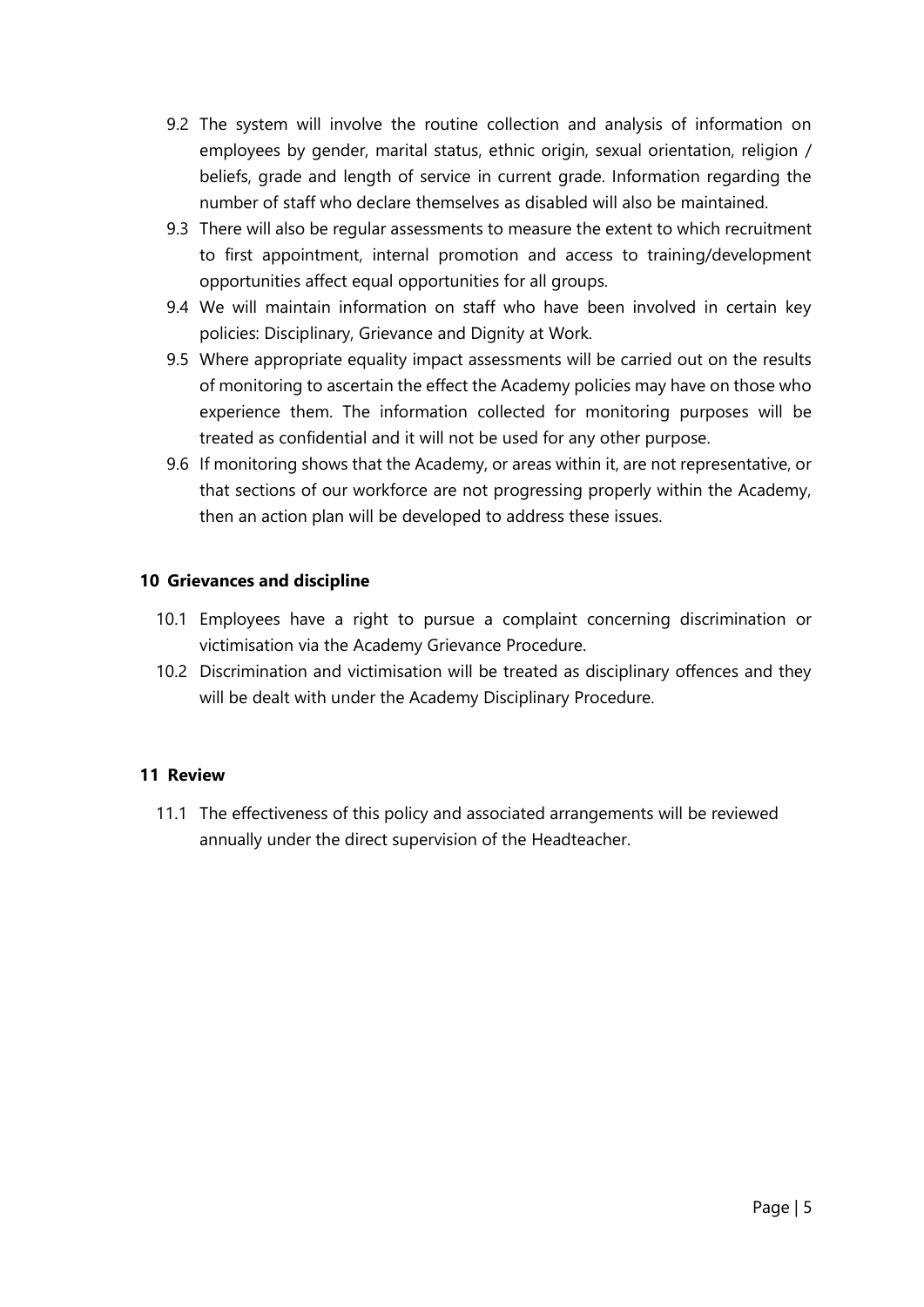- 9.2 The system will involve the routine collection and analysis of information on employees by gender, marital status, ethnic origin, sexual orientation, religion / beliefs, grade and length of service in current grade. Information regarding the number of staff who declare themselves as disabled will also be maintained.
- 9.3 There will also be regular assessments to measure the extent to which recruitment to first appointment, internal promotion and access to training/development opportunities affect equal opportunities for all groups.
- 9.4 We will maintain information on staff who have been involved in certain key policies: Disciplinary, Grievance and Dignity at Work.
- 9.5 Where appropriate equality impact assessments will be carried out on the results of monitoring to ascertain the effect the Academy policies may have on those who experience them. The information collected for monitoring purposes will be treated as confidential and it will not be used for any other purpose.
- 9.6 If monitoring shows that the Academy, or areas within it, are not representative, or that sections of our workforce are not progressing properly within the Academy, then an action plan will be developed to address these issues.

#### **10 Grievances and discipline**

- 10.1 Employees have a right to pursue a complaint concerning discrimination or victimisation via the Academy Grievance Procedure.
- 10.2 Discrimination and victimisation will be treated as disciplinary offences and they will be dealt with under the Academy Disciplinary Procedure.

## **11 Review**

11.1 The effectiveness of this policy and associated arrangements will be reviewed annually under the direct supervision of the Headteacher.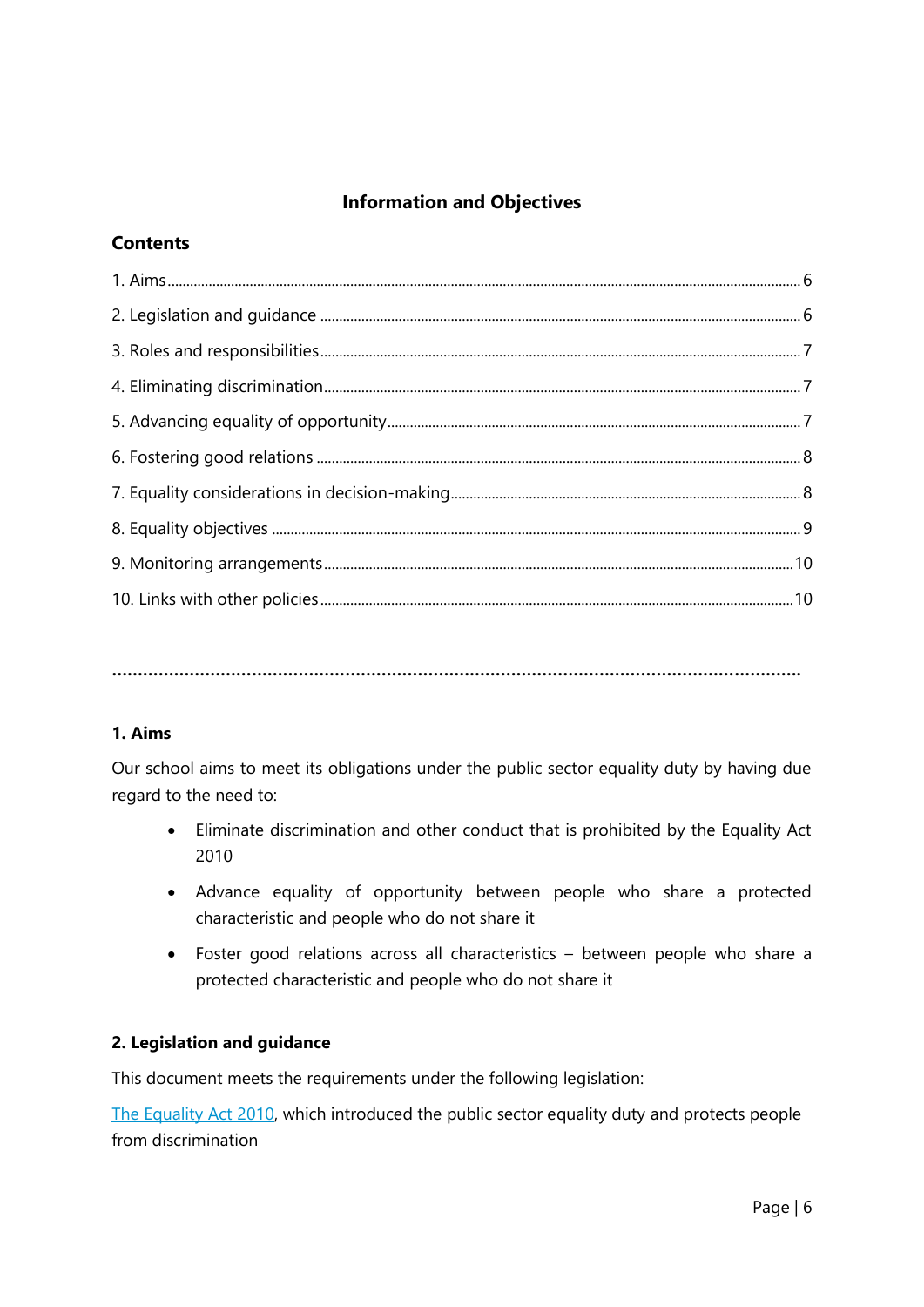## **Information and Objectives**

## **Contents**

**…………………………………………………………………………………………………………………….**

## **1. Aims**

Our school aims to meet its obligations under the public sector equality duty by having due regard to the need to:

- Eliminate discrimination and other conduct that is prohibited by the Equality Act 2010
- Advance equality of opportunity between people who share a protected characteristic and people who do not share it
- Foster good relations across all characteristics between people who share a protected characteristic and people who do not share it

## **2. Legislation and guidance**

This document meets the requirements under the following legislation:

[The Equality Act](http://www.legislation.gov.uk/ukpga/2010/15/contents) 2010, which introduced the public sector equality duty and protects people from discrimination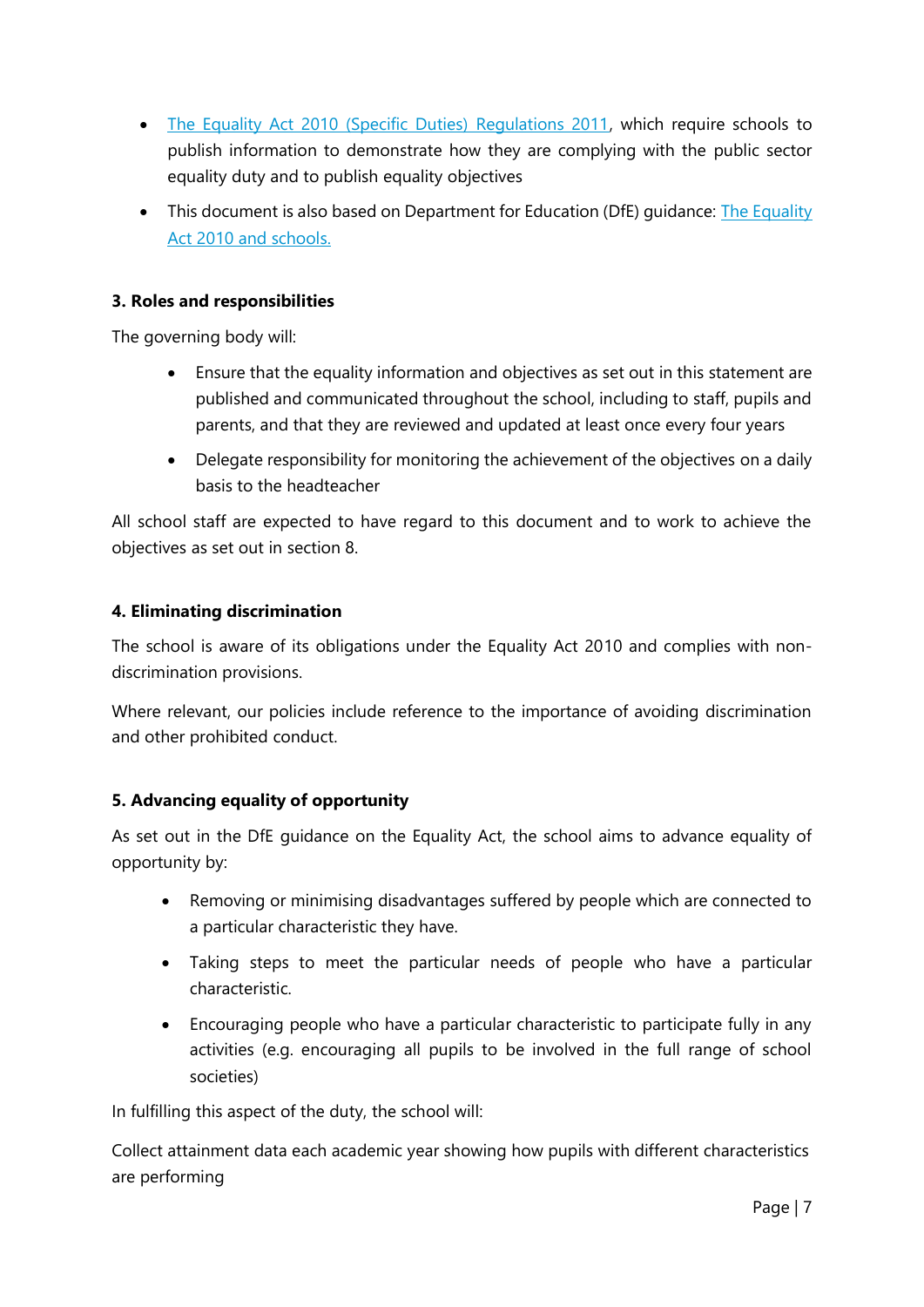- [The Equality Act 2010 \(Specific Duties\) Regulations 2011,](http://www.legislation.gov.uk/uksi/2011/2260/contents/made) which require schools to publish information to demonstrate how they are complying with the public sector equality duty and to publish equality objectives
- This document is also based on Department for Education (DfE) quidance: The Equality [Act 2010 and schools.](https://www.gov.uk/government/uploads/system/uploads/attachment_data/file/315587/Equality_Act_Advice_Final.pdf)

## **3. Roles and responsibilities**

The governing body will:

- Ensure that the equality information and objectives as set out in this statement are published and communicated throughout the school, including to staff, pupils and parents, and that they are reviewed and updated at least once every four years
- Delegate responsibility for monitoring the achievement of the objectives on a daily basis to the headteacher

All school staff are expected to have regard to this document and to work to achieve the objectives as set out in section 8.

## **4. Eliminating discrimination**

The school is aware of its obligations under the Equality Act 2010 and complies with nondiscrimination provisions.

Where relevant, our policies include reference to the importance of avoiding discrimination and other prohibited conduct.

## **5. Advancing equality of opportunity**

As set out in the DfE guidance on the Equality Act, the school aims to advance equality of opportunity by:

- Removing or minimising disadvantages suffered by people which are connected to a particular characteristic they have.
- Taking steps to meet the particular needs of people who have a particular characteristic.
- Encouraging people who have a particular characteristic to participate fully in any activities (e.g. encouraging all pupils to be involved in the full range of school societies)

In fulfilling this aspect of the duty, the school will:

Collect attainment data each academic year showing how pupils with different characteristics are performing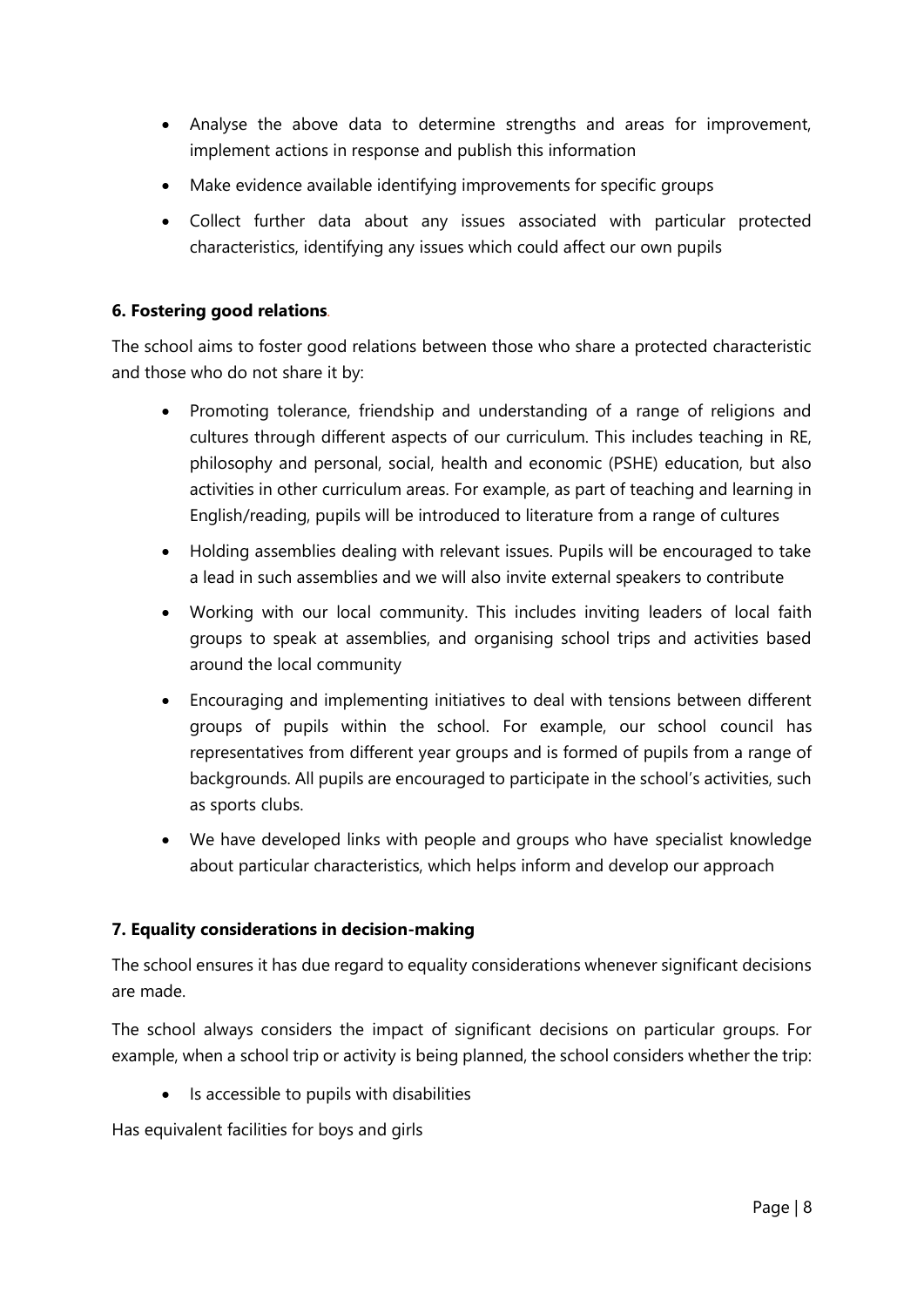- Analyse the above data to determine strengths and areas for improvement, implement actions in response and publish this information
- Make evidence available identifying improvements for specific groups
- Collect further data about any issues associated with particular protected characteristics, identifying any issues which could affect our own pupils

## **6. Fostering good relations***.*

The school aims to foster good relations between those who share a protected characteristic and those who do not share it by:

- Promoting tolerance, friendship and understanding of a range of religions and cultures through different aspects of our curriculum. This includes teaching in RE, philosophy and personal, social, health and economic (PSHE) education, but also activities in other curriculum areas. For example, as part of teaching and learning in English/reading, pupils will be introduced to literature from a range of cultures
- Holding assemblies dealing with relevant issues. Pupils will be encouraged to take a lead in such assemblies and we will also invite external speakers to contribute
- Working with our local community. This includes inviting leaders of local faith groups to speak at assemblies, and organising school trips and activities based around the local community
- Encouraging and implementing initiatives to deal with tensions between different groups of pupils within the school. For example, our school council has representatives from different year groups and is formed of pupils from a range of backgrounds. All pupils are encouraged to participate in the school's activities, such as sports clubs.
- We have developed links with people and groups who have specialist knowledge about particular characteristics, which helps inform and develop our approach

## **7. Equality considerations in decision-making**

The school ensures it has due regard to equality considerations whenever significant decisions are made.

The school always considers the impact of significant decisions on particular groups. For example, when a school trip or activity is being planned, the school considers whether the trip:

• Is accessible to pupils with disabilities

Has equivalent facilities for boys and girls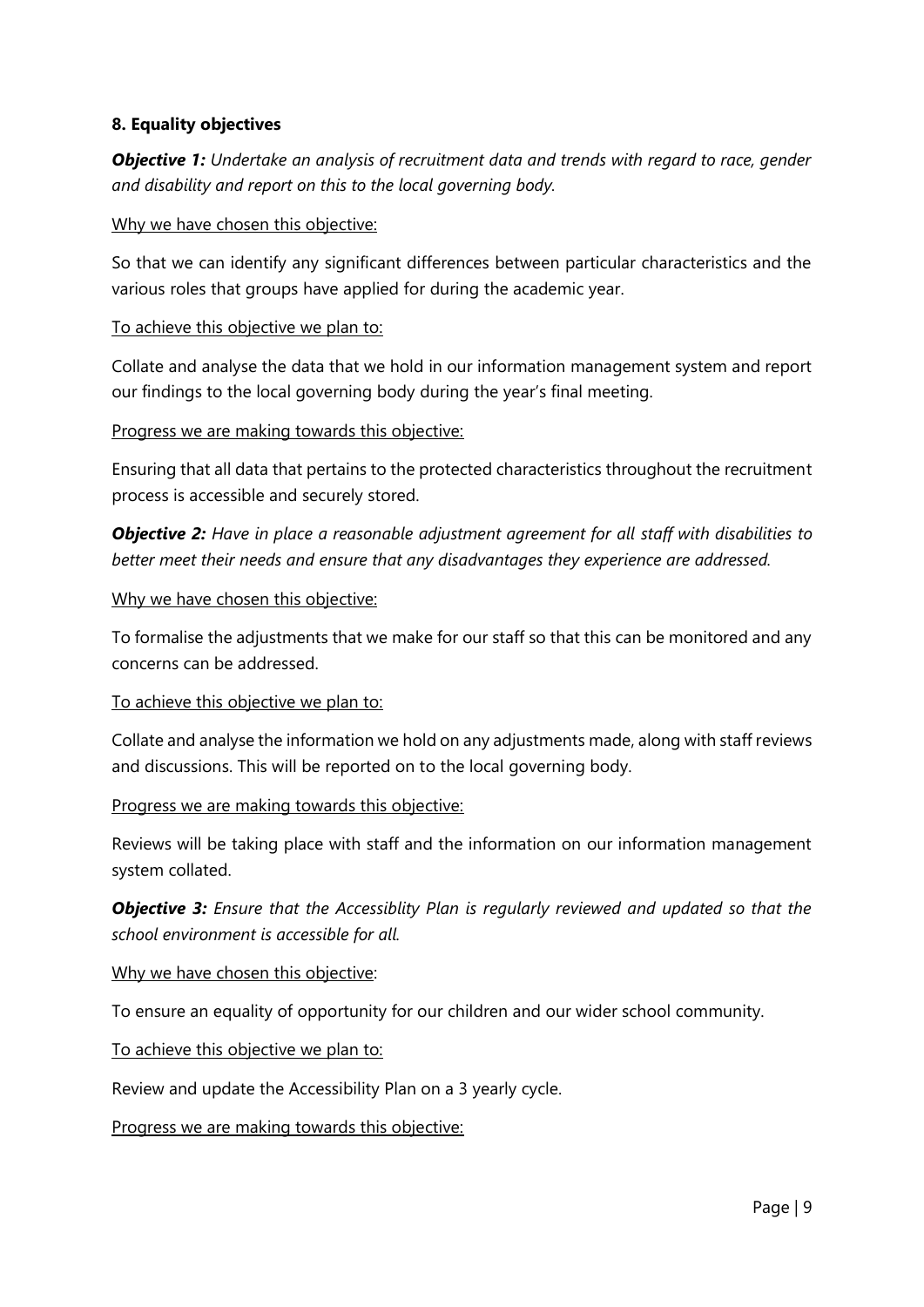## **8. Equality objectives**

*Objective 1: Undertake an analysis of recruitment data and trends with regard to race, gender and disability and report on this to the local governing body.*

#### Why we have chosen this objective:

So that we can identify any significant differences between particular characteristics and the various roles that groups have applied for during the academic year.

#### To achieve this objective we plan to:

Collate and analyse the data that we hold in our information management system and report our findings to the local governing body during the year's final meeting.

#### Progress we are making towards this objective:

Ensuring that all data that pertains to the protected characteristics throughout the recruitment process is accessible and securely stored.

*Objective 2: Have in place a reasonable adjustment agreement for all staff with disabilities to better meet their needs and ensure that any disadvantages they experience are addressed.*

#### Why we have chosen this objective:

To formalise the adjustments that we make for our staff so that this can be monitored and any concerns can be addressed.

#### To achieve this objective we plan to:

Collate and analyse the information we hold on any adjustments made, along with staff reviews and discussions. This will be reported on to the local governing body.

#### Progress we are making towards this objective:

Reviews will be taking place with staff and the information on our information management system collated.

## *Objective 3: Ensure that the Accessiblity Plan is regularly reviewed and updated so that the school environment is accessible for all.*

#### Why we have chosen this objective:

To ensure an equality of opportunity for our children and our wider school community.

To achieve this objective we plan to:

Review and update the Accessibility Plan on a 3 yearly cycle.

Progress we are making towards this objective: